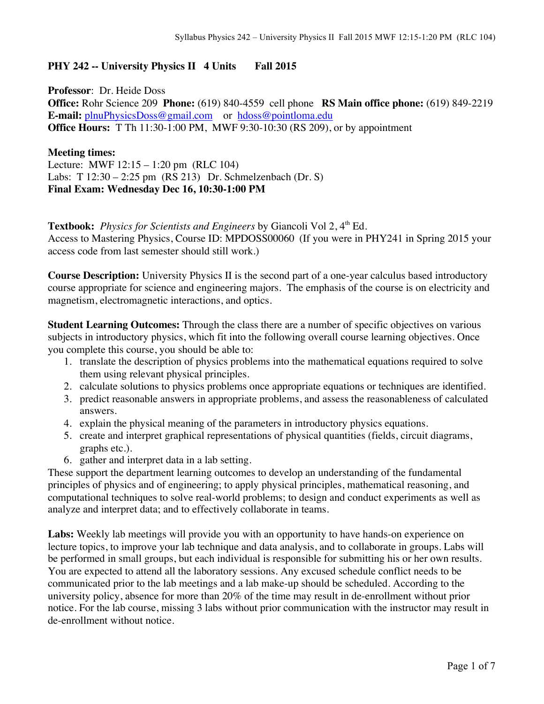## **PHY 242 -- University Physics II 4 Units Fall 2015**

**Professor**: Dr. Heide Doss **Office:** Rohr Science 209 **Phone:** (619) 840-4559 cell phone **RS Main office phone:** (619) 849-2219 **E-mail:** plnuPhysicsDoss@gmail.com or hdoss@pointloma.edu **Office Hours:** T Th 11:30-1:00 PM, MWF 9:30-10:30 (RS 209), or by appointment

**Meeting times:** Lecture: MWF 12:15 – 1:20 pm (RLC 104) Labs: T 12:30 – 2:25 pm (RS 213) Dr. Schmelzenbach (Dr. S) **Final Exam: Wednesday Dec 16, 10:30-1:00 PM**

## **Textbook:** *Physics for Scientists and Engineers* by Giancoli Vol 2, 4<sup>th</sup> Ed. Access to Mastering Physics, Course ID: MPDOSS00060 (If you were in PHY241 in Spring 2015 your access code from last semester should still work.)

**Course Description:** University Physics II is the second part of a one-year calculus based introductory course appropriate for science and engineering majors. The emphasis of the course is on electricity and magnetism, electromagnetic interactions, and optics.

**Student Learning Outcomes:** Through the class there are a number of specific objectives on various subjects in introductory physics, which fit into the following overall course learning objectives. Once you complete this course, you should be able to:

- 1. translate the description of physics problems into the mathematical equations required to solve them using relevant physical principles.
- 2. calculate solutions to physics problems once appropriate equations or techniques are identified.
- 3. predict reasonable answers in appropriate problems, and assess the reasonableness of calculated answers.
- 4. explain the physical meaning of the parameters in introductory physics equations.
- 5. create and interpret graphical representations of physical quantities (fields, circuit diagrams, graphs etc.).
- 6. gather and interpret data in a lab setting.

These support the department learning outcomes to develop an understanding of the fundamental principles of physics and of engineering; to apply physical principles, mathematical reasoning, and computational techniques to solve real-world problems; to design and conduct experiments as well as analyze and interpret data; and to effectively collaborate in teams.

**Labs:** Weekly lab meetings will provide you with an opportunity to have hands-on experience on lecture topics, to improve your lab technique and data analysis, and to collaborate in groups. Labs will be performed in small groups, but each individual is responsible for submitting his or her own results. You are expected to attend all the laboratory sessions. Any excused schedule conflict needs to be communicated prior to the lab meetings and a lab make-up should be scheduled. According to the university policy, absence for more than 20% of the time may result in de-enrollment without prior notice. For the lab course, missing 3 labs without prior communication with the instructor may result in de-enrollment without notice.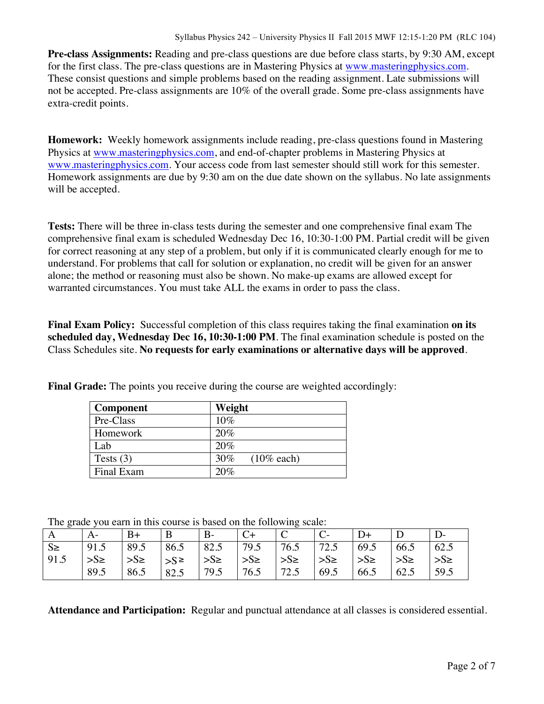**Pre-class Assignments:** Reading and pre-class questions are due before class starts, by 9:30 AM, except for the first class. The pre-class questions are in Mastering Physics at www.masteringphysics.com. These consist questions and simple problems based on the reading assignment. Late submissions will not be accepted. Pre-class assignments are 10% of the overall grade. Some pre-class assignments have extra-credit points.

**Homework:** Weekly homework assignments include reading, pre-class questions found in Mastering Physics at www.masteringphysics.com, and end-of-chapter problems in Mastering Physics at www.masteringphysics.com. Your access code from last semester should still work for this semester. Homework assignments are due by 9:30 am on the due date shown on the syllabus. No late assignments will be accepted.

**Tests:** There will be three in-class tests during the semester and one comprehensive final exam The comprehensive final exam is scheduled Wednesday Dec 16, 10:30-1:00 PM. Partial credit will be given for correct reasoning at any step of a problem, but only if it is communicated clearly enough for me to understand. For problems that call for solution or explanation, no credit will be given for an answer alone; the method or reasoning must also be shown. No make-up exams are allowed except for warranted circumstances. You must take ALL the exams in order to pass the class.

**Final Exam Policy:** Successful completion of this class requires taking the final examination **on its scheduled day, Wednesday Dec 16, 10:30-1:00 PM**. The final examination schedule is posted on the Class Schedules site. **No requests for early examinations or alternative days will be approved**.

| <b>Component</b> | Weight                  |
|------------------|-------------------------|
| Pre-Class        | 10%                     |
| Homework         | 20%                     |
| Lab.             | 20%                     |
| Tests $(3)$      | $30\%$<br>$(10\%$ each) |
| Final Exam       | 20%                     |

**Final Grade:** The points you receive during the course are weighted accordingly:

The grade you earn in this course is based on the following scale:

|              |                                                          | B+                                                                | $\mathbf{B}$ | $ B-$ | $C_{+}$ |                                                                                    |                         |      |               |           |
|--------------|----------------------------------------------------------|-------------------------------------------------------------------|--------------|-------|---------|------------------------------------------------------------------------------------|-------------------------|------|---------------|-----------|
| $\mathsf{S}$ | $\vert 91.5 \vert 89.5 \vert 86.5 \vert 82.5 \vert 79.5$ |                                                                   |              |       |         | $\begin{array}{ c c c c c c c c } \hline 76.5 & 72.5 & 69.5 \\ \hline \end{array}$ |                         |      | 66.5          | 62.5      |
| 91.5         | $>S\ge$                                                  | $ S_{\ge}$ $ S_{\ge}$ $ S_{\ge}$ $ S_{\ge}$ $ S_{\ge}$ $ S_{\ge}$ |              |       |         |                                                                                    | $ S_{\ge} $ $ S_{\ge} $ |      | $\frac{1}{5}$ | $>S \geq$ |
|              | 89.5                                                     | 86.5                                                              | 82.5         | 79.5  | 76.5    | 172.5                                                                              | 69.5                    | 66.5 | 62.5          | 59.5      |

**Attendance and Participation:** Regular and punctual attendance at all classes is considered essential.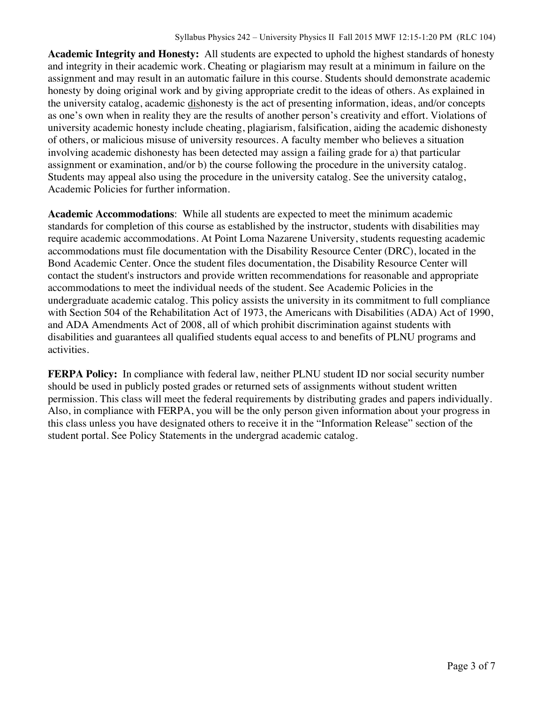**Academic Integrity and Honesty:** All students are expected to uphold the highest standards of honesty and integrity in their academic work. Cheating or plagiarism may result at a minimum in failure on the assignment and may result in an automatic failure in this course. Students should demonstrate academic honesty by doing original work and by giving appropriate credit to the ideas of others. As explained in the university catalog, academic dishonesty is the act of presenting information, ideas, and/or concepts as one's own when in reality they are the results of another person's creativity and effort. Violations of university academic honesty include cheating, plagiarism, falsification, aiding the academic dishonesty of others, or malicious misuse of university resources. A faculty member who believes a situation involving academic dishonesty has been detected may assign a failing grade for a) that particular assignment or examination, and/or b) the course following the procedure in the university catalog. Students may appeal also using the procedure in the university catalog. See the university catalog, Academic Policies for further information.

**Academic Accommodations**: While all students are expected to meet the minimum academic standards for completion of this course as established by the instructor, students with disabilities may require academic accommodations. At Point Loma Nazarene University, students requesting academic accommodations must file documentation with the Disability Resource Center (DRC), located in the Bond Academic Center. Once the student files documentation, the Disability Resource Center will contact the student's instructors and provide written recommendations for reasonable and appropriate accommodations to meet the individual needs of the student. See Academic Policies in the undergraduate academic catalog. This policy assists the university in its commitment to full compliance with Section 504 of the Rehabilitation Act of 1973, the Americans with Disabilities (ADA) Act of 1990, and ADA Amendments Act of 2008, all of which prohibit discrimination against students with disabilities and guarantees all qualified students equal access to and benefits of PLNU programs and activities.

**FERPA Policy:** In compliance with federal law, neither PLNU student ID nor social security number should be used in publicly posted grades or returned sets of assignments without student written permission. This class will meet the federal requirements by distributing grades and papers individually. Also, in compliance with FERPA, you will be the only person given information about your progress in this class unless you have designated others to receive it in the "Information Release" section of the student portal. See Policy Statements in the undergrad academic catalog.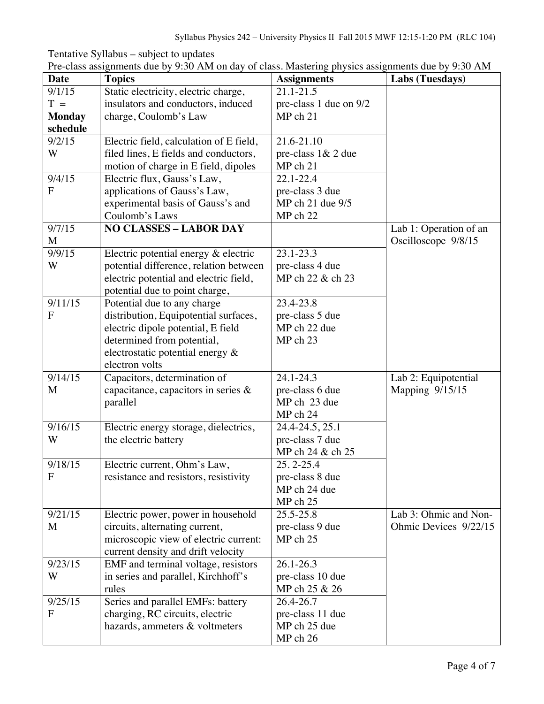| <b>Date</b>   | <b>Topics</b>                           | <b>Assignments</b>     | Labs (Tuesdays)        |
|---------------|-----------------------------------------|------------------------|------------------------|
| 9/1/15        | Static electricity, electric charge,    | $21.1 - 21.5$          |                        |
| $T =$         | insulators and conductors, induced      | pre-class 1 due on 9/2 |                        |
| <b>Monday</b> | charge, Coulomb's Law                   | MP ch 21               |                        |
| schedule      |                                         |                        |                        |
| 9/2/15        | Electric field, calculation of E field, | 21.6-21.10             |                        |
| W             | filed lines, E fields and conductors,   | pre-class 1& 2 due     |                        |
|               | motion of charge in E field, dipoles    | MP ch 21               |                        |
| 9/4/15        | Electric flux, Gauss's Law,             | 22.1-22.4              |                        |
| $\mathbf{F}$  | applications of Gauss's Law,            | pre-class 3 due        |                        |
|               | experimental basis of Gauss's and       | MP ch 21 due 9/5       |                        |
|               | Coulomb's Laws                          | MP ch 22               |                        |
| 9/7/15        | <b>NO CLASSES - LABOR DAY</b>           |                        | Lab 1: Operation of an |
| M             |                                         |                        | Oscilloscope 9/8/15    |
| 9/9/15        | Electric potential energy & electric    | 23.1-23.3              |                        |
| W             | potential difference, relation between  | pre-class 4 due        |                        |
|               | electric potential and electric field,  | MP ch 22 & ch 23       |                        |
|               | potential due to point charge,          |                        |                        |
| 9/11/15       | Potential due to any charge             | 23.4-23.8              |                        |
| $\mathbf{F}$  | distribution, Equipotential surfaces,   | pre-class 5 due        |                        |
|               | electric dipole potential, E field      | MP ch 22 due           |                        |
|               | determined from potential,              | MP ch 23               |                        |
|               | electrostatic potential energy &        |                        |                        |
|               | electron volts                          |                        |                        |
| 9/14/15       | Capacitors, determination of            | 24.1-24.3              | Lab 2: Equipotential   |
| M             | capacitance, capacitors in series $\&$  | pre-class 6 due        | Mapping 9/15/15        |
|               | parallel                                | MP ch 23 due           |                        |
|               |                                         | MP ch 24               |                        |
| 9/16/15       | Electric energy storage, dielectrics,   | 24.4-24.5, 25.1        |                        |
| W             | the electric battery                    | pre-class 7 due        |                        |
|               |                                         | MP ch 24 & ch 25       |                        |
| 9/18/15       | Electric current, Ohm's Law,            | $25.2 - 25.4$          |                        |
| $\mathbf F$   | resistance and resistors, resistivity   | pre-class 8 due        |                        |
|               |                                         | MP ch 24 due           |                        |
|               |                                         | MP ch 25               |                        |
| 9/21/15       | Electric power, power in household      | $25.5 - 25.8$          | Lab 3: Ohmic and Non-  |
| M             | circuits, alternating current,          | pre-class 9 due        | Ohmic Devices 9/22/15  |
|               | microscopic view of electric current:   | MP ch 25               |                        |
|               | current density and drift velocity      |                        |                        |
| 9/23/15       | EMF and terminal voltage, resistors     | $26.1 - 26.3$          |                        |
| W             | in series and parallel, Kirchhoff's     | pre-class 10 due       |                        |
|               | rules                                   | MP ch 25 & 26          |                        |
| 9/25/15       | Series and parallel EMFs: battery       | 26.4-26.7              |                        |
| $\mathbf{F}$  | charging, RC circuits, electric         | pre-class 11 due       |                        |
|               | hazards, ammeters & voltmeters          | MP ch 25 due           |                        |
|               |                                         | MP ch 26               |                        |

Tentative Syllabus – subject to updates Pre-class assignments due by 9:30 AM on day of class. Mastering physics assignments due by 9:30 AM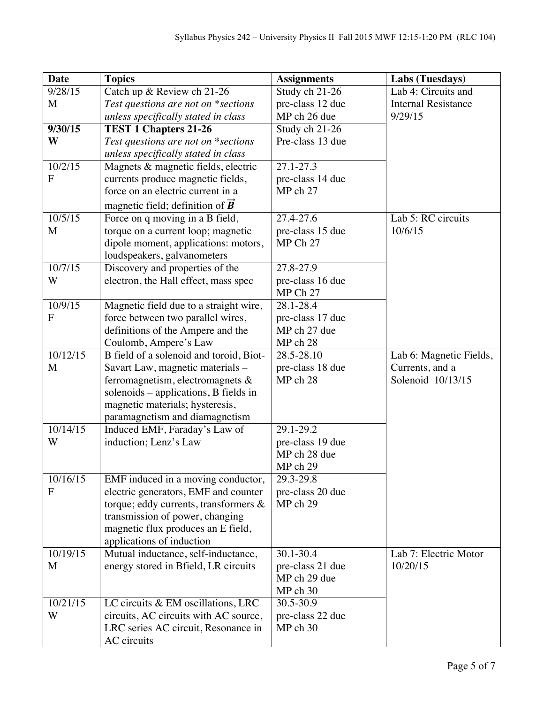| <b>Date</b> | <b>Topics</b>                                                                 | <b>Assignments</b>     | Labs (Tuesdays)                            |
|-------------|-------------------------------------------------------------------------------|------------------------|--------------------------------------------|
| 9/28/15     | Catch up & Review ch 21-26                                                    | Study ch 21-26         | Lab 4: Circuits and                        |
| M           | Test questions are not on *sections                                           | pre-class 12 due       | <b>Internal Resistance</b>                 |
|             | unless specifically stated in class                                           | MP ch 26 due           | 9/29/15                                    |
| 9/30/15     | <b>TEST 1 Chapters 21-26</b>                                                  | Study ch 21-26         |                                            |
| W           | Test questions are not on *sections                                           | Pre-class 13 due       |                                            |
|             | unless specifically stated in class                                           |                        |                                            |
| 10/2/15     | Magnets & magnetic fields, electric                                           | $27.1 - 27.3$          |                                            |
| F           | currents produce magnetic fields,                                             | pre-class 14 due       |                                            |
|             | force on an electric current in a                                             | MP ch 27               |                                            |
|             | magnetic field; definition of $\vec{B}$                                       |                        |                                            |
| 10/5/15     | Force on q moving in a B field,                                               | 27.4-27.6              | Lab 5: RC circuits                         |
| M           | torque on a current loop; magnetic                                            | pre-class 15 due       | 10/6/15                                    |
|             | dipole moment, applications: motors,                                          | MP Ch 27               |                                            |
|             | loudspeakers, galvanometers                                                   |                        |                                            |
| 10/7/15     | Discovery and properties of the                                               | 27.8-27.9              |                                            |
| W           | electron, the Hall effect, mass spec                                          | pre-class 16 due       |                                            |
|             |                                                                               | MP Ch 27               |                                            |
| 10/9/15     | Magnetic field due to a straight wire,                                        | 28.1-28.4              |                                            |
| F           | force between two parallel wires,                                             | pre-class 17 due       |                                            |
|             | definitions of the Ampere and the                                             | MP ch 27 due           |                                            |
| 10/12/15    | Coulomb, Ampere's Law                                                         | MP ch 28<br>28.5-28.10 |                                            |
| M           | B field of a solenoid and toroid, Biot-<br>Savart Law, magnetic materials -   | pre-class 18 due       | Lab 6: Magnetic Fields,<br>Currents, and a |
|             | ferromagnetism, electromagnets $\&$                                           | MP ch 28               | Solenoid 10/13/15                          |
|             | solenoids – applications, B fields in                                         |                        |                                            |
|             | magnetic materials; hysteresis,                                               |                        |                                            |
|             | paramagnetism and diamagnetism                                                |                        |                                            |
| 10/14/15    | Induced EMF, Faraday's Law of                                                 | 29.1-29.2              |                                            |
| W           | induction; Lenz's Law                                                         | pre-class 19 due       |                                            |
|             |                                                                               | MP ch 28 due           |                                            |
|             |                                                                               | MP ch 29               |                                            |
| 10/16/15    | EMF induced in a moving conductor,                                            | 29.3-29.8              |                                            |
| F           | electric generators, EMF and counter                                          | pre-class 20 due       |                                            |
|             | torque; eddy currents, transformers $\&$                                      | MP ch 29               |                                            |
|             | transmission of power, changing                                               |                        |                                            |
|             | magnetic flux produces an E field,                                            |                        |                                            |
|             | applications of induction                                                     |                        |                                            |
| 10/19/15    | Mutual inductance, self-inductance,                                           | 30.1-30.4              | Lab 7: Electric Motor                      |
| M           | energy stored in Bfield, LR circuits                                          | pre-class 21 due       | 10/20/15                                   |
|             |                                                                               | MP ch 29 due           |                                            |
| 10/21/15    |                                                                               | MP ch 30<br>30.5-30.9  |                                            |
| W           | LC circuits $& EM$ oscillations, LRC<br>circuits, AC circuits with AC source, | pre-class 22 due       |                                            |
|             | LRC series AC circuit, Resonance in                                           | MP ch 30               |                                            |
|             | AC circuits                                                                   |                        |                                            |
|             |                                                                               |                        |                                            |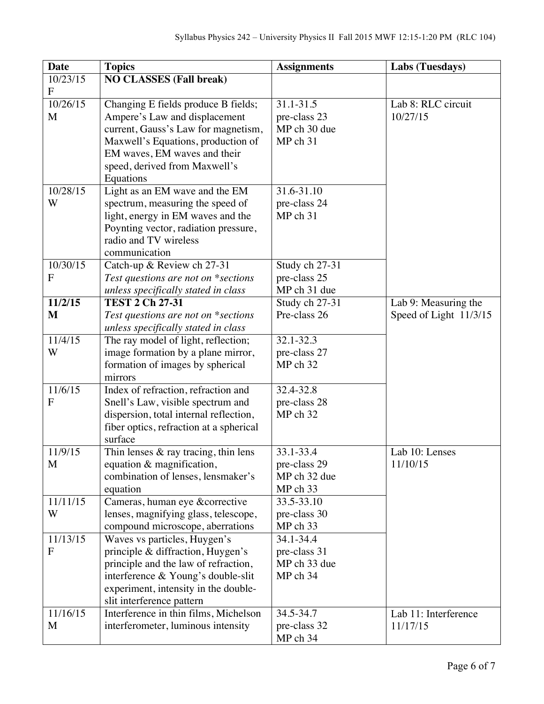| <b>Date</b>                | <b>Topics</b>                                                               | <b>Assignments</b> | Labs (Tuesdays)        |
|----------------------------|-----------------------------------------------------------------------------|--------------------|------------------------|
| 10/23/15                   | <b>NO CLASSES (Fall break)</b>                                              |                    |                        |
| $\mathbf F$                |                                                                             |                    |                        |
| 10/26/15                   | Changing E fields produce B fields;                                         | 31.1-31.5          | Lab 8: RLC circuit     |
| M                          | Ampere's Law and displacement                                               | pre-class 23       | 10/27/15               |
|                            | current, Gauss's Law for magnetism,                                         | MP ch 30 due       |                        |
|                            | Maxwell's Equations, production of                                          | MP ch 31           |                        |
|                            | EM waves, EM waves and their                                                |                    |                        |
|                            | speed, derived from Maxwell's                                               |                    |                        |
|                            | Equations                                                                   |                    |                        |
| 10/28/15                   | Light as an EM wave and the EM                                              | 31.6-31.10         |                        |
| W                          | spectrum, measuring the speed of                                            | pre-class 24       |                        |
|                            | light, energy in EM waves and the                                           | MP ch 31           |                        |
|                            | Poynting vector, radiation pressure,                                        |                    |                        |
|                            | radio and TV wireless                                                       |                    |                        |
|                            | communication                                                               |                    |                        |
| 10/30/15                   | Catch-up & Review ch 27-31                                                  | Study ch 27-31     |                        |
| F                          | Test questions are not on *sections                                         | pre-class 25       |                        |
|                            | unless specifically stated in class                                         | MP ch 31 due       |                        |
| 11/2/15                    | <b>TEST 2 Ch 27-31</b>                                                      | Study ch 27-31     | Lab 9: Measuring the   |
| M                          | Test questions are not on *sections                                         | Pre-class 26       | Speed of Light 11/3/15 |
|                            | unless specifically stated in class                                         |                    |                        |
| 11/4/15                    | The ray model of light, reflection;                                         | $32.1 - 32.3$      |                        |
| W                          | image formation by a plane mirror,                                          | pre-class 27       |                        |
|                            | formation of images by spherical                                            | MP ch 32           |                        |
|                            | mirrors                                                                     |                    |                        |
| 11/6/15                    | Index of refraction, refraction and                                         | 32.4-32.8          |                        |
| F                          | Snell's Law, visible spectrum and                                           | pre-class 28       |                        |
|                            | dispersion, total internal reflection,                                      | MP ch 32           |                        |
|                            | fiber optics, refraction at a spherical                                     |                    |                        |
|                            | surface                                                                     |                    |                        |
| 11/9/15                    | Thin lenses $\&$ ray tracing, thin lens                                     | 33.1-33.4          | Lab 10: Lenses         |
| M                          | equation & magnification,                                                   | pre-class 29       | 11/10/15               |
|                            | combination of lenses, lensmaker's                                          | MP ch 32 due       |                        |
|                            | equation                                                                    | MP ch 33           |                        |
| 11/11/15                   | Cameras, human eye &corrective                                              | 33.5-33.10         |                        |
| W                          | lenses, magnifying glass, telescope,                                        | pre-class 30       |                        |
|                            | compound microscope, aberrations                                            | MP ch 33           |                        |
| 11/13/15<br>$\overline{F}$ | Waves vs particles, Huygen's                                                | 34.1-34.4          |                        |
|                            | principle & diffraction, Huygen's                                           | pre-class 31       |                        |
|                            | principle and the law of refraction,                                        | MP ch 33 due       |                        |
|                            | interference & Young's double-slit                                          | MP ch 34           |                        |
|                            | experiment, intensity in the double-                                        |                    |                        |
| 11/16/15                   | slit interference pattern                                                   | 34.5-34.7          | Lab 11: Interference   |
|                            |                                                                             |                    |                        |
| M                          | Interference in thin films, Michelson<br>interferometer, luminous intensity | pre-class 32       | 11/17/15               |